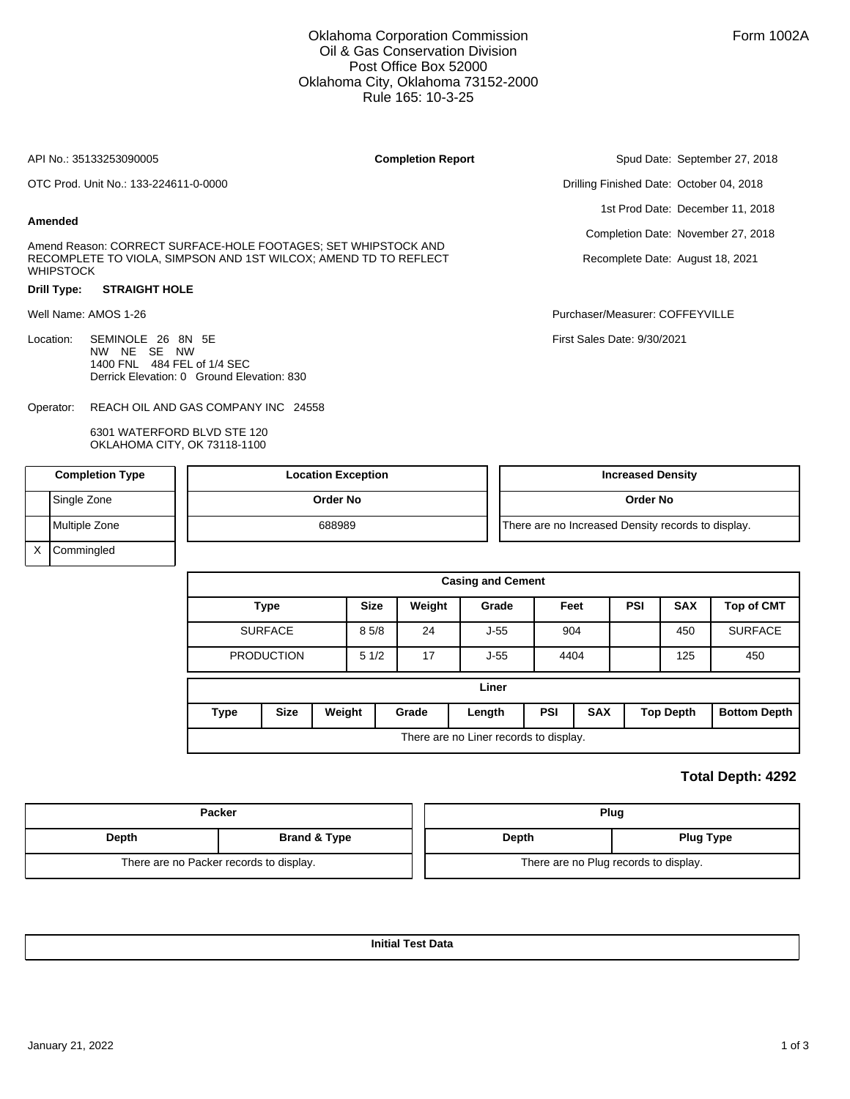## Oklahoma Corporation Commission Oil & Gas Conservation Division Post Office Box 52000 Oklahoma City, Oklahoma 73152-2000 Rule 165: 10-3-25

|                      | API No.: 35133253090005                                                                                                            | <b>Completion Report</b> | Spud Date: September 27, 2018            |  |  |  |  |
|----------------------|------------------------------------------------------------------------------------------------------------------------------------|--------------------------|------------------------------------------|--|--|--|--|
|                      | OTC Prod. Unit No.: 133-224611-0-0000                                                                                              |                          | Drilling Finished Date: October 04, 2018 |  |  |  |  |
| Amended              |                                                                                                                                    |                          | 1st Prod Date: December 11, 2018         |  |  |  |  |
|                      |                                                                                                                                    |                          | Completion Date: November 27, 2018       |  |  |  |  |
| <b>WHIPSTOCK</b>     | Amend Reason: CORRECT SURFACE-HOLE FOOTAGES; SET WHIPSTOCK AND<br>RECOMPLETE TO VIOLA, SIMPSON AND 1ST WILCOX; AMEND TD TO REFLECT |                          | Recomplete Date: August 18, 2021         |  |  |  |  |
| Drill Type:          | <b>STRAIGHT HOLE</b>                                                                                                               |                          |                                          |  |  |  |  |
| Well Name: AMOS 1-26 |                                                                                                                                    |                          | Purchaser/Measurer: COFFEYVILLE          |  |  |  |  |
| Location:            | SEMINOLE 26 8N 5E<br>NW NE<br>SE NW<br>1400 FNL 484 FEL of 1/4 SEC<br>Derrick Elevation: 0 Ground Elevation: 830                   |                          | First Sales Date: 9/30/2021              |  |  |  |  |
| Operator:            | REACH OIL AND GAS COMPANY INC 24558                                                                                                |                          |                                          |  |  |  |  |

6301 WATERFORD BLVD STE 120 OKLAHOMA CITY, OK 73118-1100

| <b>Completion Type</b> |                   | <b>Location Exception</b> | <b>Increased Density</b>                           |  |  |  |  |
|------------------------|-------------------|---------------------------|----------------------------------------------------|--|--|--|--|
|                        | Single Zone       | Order No                  | <b>Order No</b>                                    |  |  |  |  |
|                        | Multiple Zone     | 688989                    | There are no Increased Density records to display. |  |  |  |  |
| $\checkmark$           | <b>Commingled</b> |                           |                                                    |  |  |  |  |

| <b>Casing and Cement</b>               |             |                 |             |        |            |            |      |                  |                     |                   |  |
|----------------------------------------|-------------|-----------------|-------------|--------|------------|------------|------|------------------|---------------------|-------------------|--|
| <b>Type</b>                            |             |                 | <b>Size</b> | Weight | Grade      | Feet       |      | <b>PSI</b>       | <b>SAX</b>          | <b>Top of CMT</b> |  |
| <b>SURFACE</b>                         |             |                 | 85/8        | 24     | $J-55$     | 904        |      |                  | 450                 | <b>SURFACE</b>    |  |
| <b>PRODUCTION</b>                      |             |                 | 51/2        | 17     | $J-55$     |            | 4404 |                  | 125                 | 450               |  |
| Liner                                  |             |                 |             |        |            |            |      |                  |                     |                   |  |
| <b>Type</b>                            | <b>Size</b> | Weight<br>Grade |             | Length | <b>PSI</b> | <b>SAX</b> |      | <b>Top Depth</b> | <b>Bottom Depth</b> |                   |  |
| There are no Liner records to display. |             |                 |             |        |            |            |      |                  |                     |                   |  |

## **Total Depth: 4292**

|       | <b>Packer</b>                           | Plug                                  |                  |  |  |  |  |
|-------|-----------------------------------------|---------------------------------------|------------------|--|--|--|--|
| Depth | Brand & Type                            | Depth                                 | <b>Plug Type</b> |  |  |  |  |
|       | There are no Packer records to display. | There are no Plug records to display. |                  |  |  |  |  |

**Initial Test Data**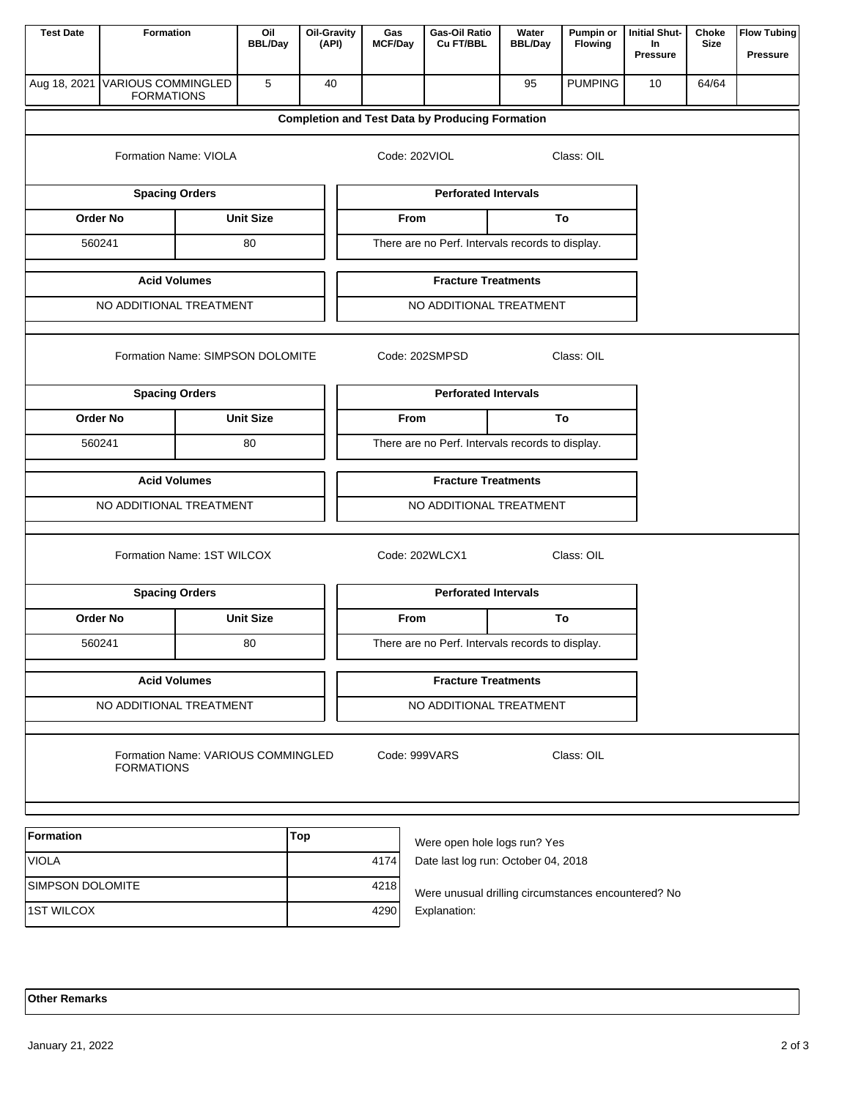| <b>Test Date</b>                 | Formation                                      |                                    | Oil<br><b>BBL/Day</b> |                         | <b>Oil-Gravity</b><br>(API)                                                 | Gas<br><b>MCF/Day</b>        | Gas-Oil Ratio<br>Cu FT/BBL                             | Water<br><b>BBL/Day</b> | Pumpin or<br><b>Flowing</b> | <b>Initial Shut-</b><br>In<br><b>Pressure</b> | Choke<br>Size | <b>Flow Tubing</b><br><b>Pressure</b> |
|----------------------------------|------------------------------------------------|------------------------------------|-----------------------|-------------------------|-----------------------------------------------------------------------------|------------------------------|--------------------------------------------------------|-------------------------|-----------------------------|-----------------------------------------------|---------------|---------------------------------------|
| Aug 18, 2021                     | <b>VARIOUS COMMINGLED</b><br><b>FORMATIONS</b> |                                    | 5                     |                         | 40                                                                          |                              |                                                        | 95                      | <b>PUMPING</b>              | 10                                            | 64/64         |                                       |
|                                  |                                                |                                    |                       |                         |                                                                             |                              | <b>Completion and Test Data by Producing Formation</b> |                         |                             |                                               |               |                                       |
|                                  |                                                | Code: 202VIOL                      |                       |                         |                                                                             |                              |                                                        |                         |                             |                                               |               |                                       |
|                                  |                                                | <b>Spacing Orders</b>              |                       |                         |                                                                             |                              | <b>Perforated Intervals</b>                            |                         |                             |                                               |               |                                       |
|                                  | <b>Order No</b>                                |                                    | <b>Unit Size</b>      |                         |                                                                             | From                         |                                                        |                         |                             |                                               |               |                                       |
|                                  | 560241                                         |                                    | 80                    |                         |                                                                             |                              | There are no Perf. Intervals records to display.       |                         |                             |                                               |               |                                       |
|                                  |                                                | <b>Acid Volumes</b>                |                       |                         |                                                                             |                              | <b>Fracture Treatments</b>                             |                         |                             |                                               |               |                                       |
|                                  | NO ADDITIONAL TREATMENT                        |                                    |                       |                         |                                                                             |                              | NO ADDITIONAL TREATMENT                                |                         |                             |                                               |               |                                       |
| Formation Name: SIMPSON DOLOMITE |                                                |                                    |                       |                         |                                                                             | Code: 202SMPSD<br>Class: OIL |                                                        |                         |                             |                                               |               |                                       |
|                                  |                                                | <b>Spacing Orders</b>              |                       |                         |                                                                             |                              | <b>Perforated Intervals</b>                            |                         |                             |                                               |               |                                       |
|                                  | <b>Order No</b>                                |                                    | <b>Unit Size</b>      |                         |                                                                             | From                         |                                                        |                         | To                          |                                               |               |                                       |
|                                  | 560241                                         |                                    | 80                    |                         |                                                                             |                              | There are no Perf. Intervals records to display.       |                         |                             |                                               |               |                                       |
|                                  |                                                | <b>Acid Volumes</b>                |                       |                         |                                                                             |                              | <b>Fracture Treatments</b>                             |                         |                             |                                               |               |                                       |
| NO ADDITIONAL TREATMENT          |                                                |                                    |                       | NO ADDITIONAL TREATMENT |                                                                             |                              |                                                        |                         |                             |                                               |               |                                       |
|                                  |                                                | Code: 202WLCX1<br>Class: OIL       |                       |                         |                                                                             |                              |                                                        |                         |                             |                                               |               |                                       |
|                                  |                                                | <b>Spacing Orders</b>              |                       |                         |                                                                             |                              | <b>Perforated Intervals</b>                            |                         |                             |                                               |               |                                       |
|                                  | Order No                                       |                                    | <b>Unit Size</b>      |                         |                                                                             | From                         |                                                        |                         |                             |                                               |               |                                       |
|                                  | 560241                                         |                                    | 80                    |                         |                                                                             |                              | There are no Perf. Intervals records to display.       |                         |                             |                                               |               |                                       |
| <b>Acid Volumes</b>              |                                                |                                    |                       |                         |                                                                             |                              | <b>Fracture Treatments</b>                             |                         |                             |                                               |               |                                       |
| NO ADDITIONAL TREATMENT          |                                                |                                    |                       | NO ADDITIONAL TREATMENT |                                                                             |                              |                                                        |                         |                             |                                               |               |                                       |
|                                  | <b>FORMATIONS</b>                              | Formation Name: VARIOUS COMMINGLED |                       |                         |                                                                             |                              | Code: 999VARS                                          |                         | Class: OIL                  |                                               |               |                                       |
| Formation                        |                                                |                                    |                       | Top                     |                                                                             |                              |                                                        |                         |                             |                                               |               |                                       |
| <b>VIOLA</b>                     |                                                |                                    |                       |                         | Were open hole logs run? Yes<br>Date last log run: October 04, 2018<br>4174 |                              |                                                        |                         |                             |                                               |               |                                       |
| SIMPSON DOLOMITE                 |                                                |                                    |                       |                         | 4218                                                                        |                              | Were unusual drilling circumstances encountered? No    |                         |                             |                                               |               |                                       |
| <b>1ST WILCOX</b>                |                                                |                                    |                       |                         | 4290                                                                        |                              | Explanation:                                           |                         |                             |                                               |               |                                       |

## **Other Remarks**